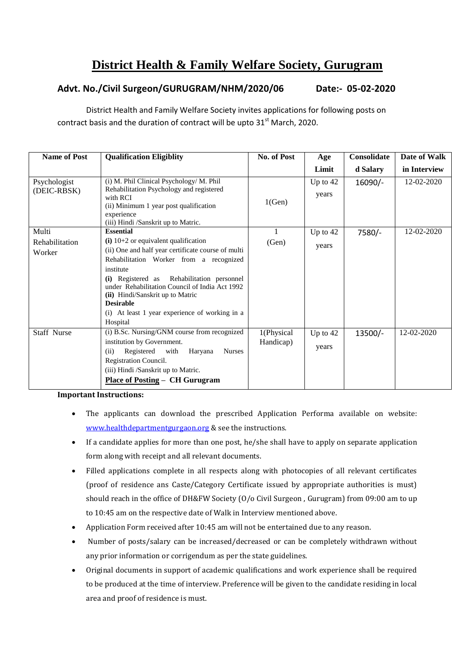## **District Health & Family Welfare Society, Gurugram**

## **Advt. No./Civil Surgeon/GURUGRAM/NHM/2020/06 Date:- 05-02-2020**

District Health and Family Welfare Society invites applications for following posts on contract basis and the duration of contract will be upto  $31<sup>st</sup>$  March, 2020.

| <b>Name of Post</b>         | <b>Qualification Eligiblity</b>                                                                                                                                                                                                                                                                                                                                            | No. of Post             | Age                 | Consolidate | Date of Walk |
|-----------------------------|----------------------------------------------------------------------------------------------------------------------------------------------------------------------------------------------------------------------------------------------------------------------------------------------------------------------------------------------------------------------------|-------------------------|---------------------|-------------|--------------|
|                             |                                                                                                                                                                                                                                                                                                                                                                            |                         | Limit               | d Salary    | in Interview |
| Psychologist<br>(DEIC-RBSK) | (i) M. Phil Clinical Psychology/ M. Phil<br>Rehabilitation Psychology and registered<br>with RCI<br>(ii) Minimum 1 year post qualification<br>experience<br>(iii) Hindi /Sanskrit up to Matric.                                                                                                                                                                            | 1(Gen)                  | Up to $42$<br>years | 16090/-     | 12-02-2020   |
| Multi                       | <b>Essential</b>                                                                                                                                                                                                                                                                                                                                                           |                         | Up to 42            | 7580/-      | 12-02-2020   |
| Rehabilitation<br>Worker    | $(i)$ 10+2 or equivalent qualification<br>(ii) One and half year certificate course of multi<br>Rehabilitation Worker from a recognized<br>institute<br>(i) Registered as Rehabilitation personnel<br>under Rehabilitation Council of India Act 1992<br>(ii) Hindi/Sanskrit up to Matric<br><b>Desirable</b><br>(i) At least 1 year experience of working in a<br>Hospital | (Gen)                   | years               |             |              |
| Staff Nurse                 | (i) B.Sc. Nursing/GNM course from recognized<br>institution by Government.<br>Haryana<br>Registered with<br><b>Nurses</b><br>(ii)<br>Registration Council.<br>(iii) Hindi /Sanskrit up to Matric.<br><b>Place of Posting – CH Gurugram</b>                                                                                                                                 | 1(Physical<br>Handicap) | Up to $42$<br>years | 13500/-     | 12-02-2020   |

**Important Instructions:**

- The applicants can download the prescribed Application Performa available on website: [www.healthdepartmentgurgaon.org](http://www.healthdepartmentgurgaon.org/) & see the instructions.
- If a candidate applies for more than one post, he/she shall have to apply on separate application form along with receipt and all relevant documents.
- Filled applications complete in all respects along with photocopies of all relevant certificates (proof of residence ans Caste/Category Certificate issued by appropriate authorities is must) should reach in the office of DH&FW Society (O/o Civil Surgeon , Gurugram) from 09:00 am to up to 10:45 am on the respective date of Walk in Interview mentioned above.
- Application Form received after 10:45 am will not be entertained due to any reason.
- Number of posts/salary can be increased/decreased or can be completely withdrawn without any prior information or corrigendum as per the state guidelines.
- Original documents in support of academic qualifications and work experience shall be required to be produced at the time of interview. Preference will be given to the candidate residing in local area and proof of residence is must.